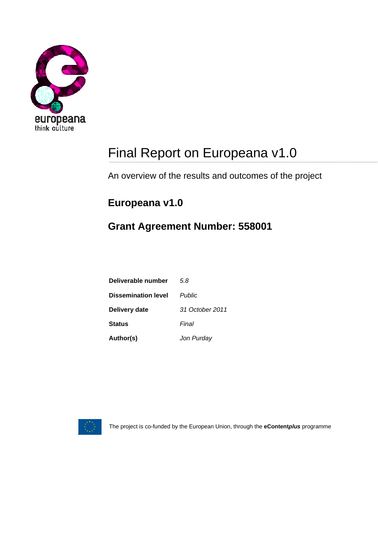

# Final Report on Europeana v1.0

An overview of the results and outcomes of the project

### **Europeana v1.0**

## **Grant Agreement Number: 558001**

| Deliverable number         | 58              |
|----------------------------|-----------------|
| <b>Dissemination level</b> | <b>Public</b>   |
| Delivery date              | 31 October 2011 |
| <b>Status</b>              | Final           |
| Author(s)                  | Jon Purday      |



The project is co-funded by the European Union, through the **eContent***plus* programme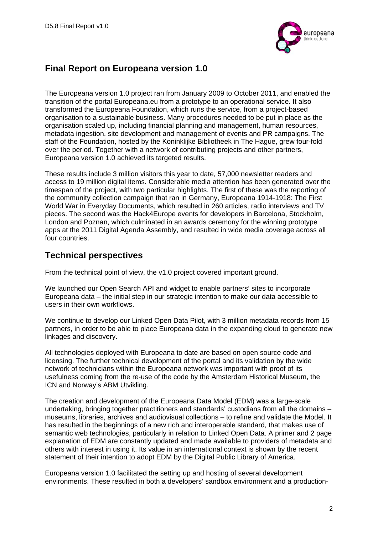

#### **Final Report on Europeana version 1.0**

The Europeana version 1.0 project ran from January 2009 to October 2011, and enabled the transition of the portal Europeana.eu from a prototype to an operational service. It also transformed the Europeana Foundation, which runs the service, from a project-based organisation to a sustainable business. Many procedures needed to be put in place as the organisation scaled up, including financial planning and management, human resources, metadata ingestion, site development and management of events and PR campaigns. The staff of the Foundation, hosted by the Koninklijke Bibliotheek in The Hague, grew four-fold over the period. Together with a network of contributing projects and other partners, Europeana version 1.0 achieved its targeted results.

These results include 3 million visitors this year to date, 57,000 newsletter readers and access to 19 million digital items. Considerable media attention has been generated over the timespan of the project, with two particular highlights. The first of these was the reporting of the community collection campaign that ran in Germany, Europeana 1914-1918: The First World War in Everyday Documents, which resulted in 260 articles, radio interviews and TV pieces. The second was the Hack4Europe events for developers in Barcelona, Stockholm, London and Poznan, which culminated in an awards ceremony for the winning prototype apps at the 2011 Digital Agenda Assembly, and resulted in wide media coverage across all four countries.

#### **Technical perspectives**

From the technical point of view, the v1.0 project covered important ground.

We launched our Open Search API and widget to enable partners' sites to incorporate Europeana data – the initial step in our strategic intention to make our data accessible to users in their own workflows.

We continue to develop our Linked Open Data Pilot, with 3 million metadata records from 15 partners, in order to be able to place Europeana data in the expanding cloud to generate new linkages and discovery.

All technologies deployed with Europeana to date are based on open source code and licensing. The further technical development of the portal and its validation by the wide network of technicians within the Europeana network was important with proof of its usefulness coming from the re-use of the code by the Amsterdam Historical Museum, the ICN and Norway's ABM Utvikling.

The creation and development of the Europeana Data Model (EDM) was a large-scale undertaking, bringing together practitioners and standards' custodians from all the domains – museums, libraries, archives and audiovisual collections – to refine and validate the Model. It has resulted in the beginnings of a new rich and interoperable standard, that makes use of semantic web technologies, particularly in relation to Linked Open Data. A primer and 2 page explanation of EDM are constantly updated and made available to providers of metadata and others with interest in using it. Its value in an international context is shown by the recent statement of their intention to adopt EDM by the Digital Public Library of America.

Europeana version 1.0 facilitated the setting up and hosting of several development environments. These resulted in both a developers' sandbox environment and a production-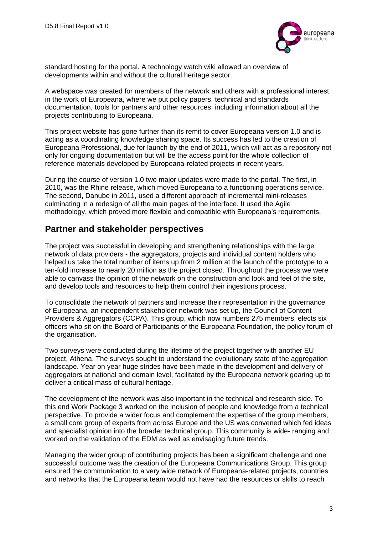

standard hosting for the portal. A technology watch wiki allowed an overview of developments within and without the cultural heritage sector.

A webspace was created for members of the network and others with a professional interest in the work of Europeana, where we put policy papers, technical and standards documentation, tools for partners and other resources, including information about all the projects contributing to Europeana.

This project website has gone further than its remit to cover Europeana version 1.0 and is acting as a coordinating knowledge sharing space. Its success has led to the creation of Europeana Professional, due for launch by the end of 2011, which will act as a repository not only for ongoing documentation but will be the access point for the whole collection of reference materials developed by Europeana-related projects in recent years.

During the course of version 1.0 two major updates were made to the portal. The first, in 2010, was the Rhine release, which moved Europeana to a functioning operations service. The second, Danube in 2011, used a different approach of incremental mini-releases culminating in a redesign of all the main pages of the interface. It used the Agile methodology, which proved more flexible and compatible with Europeana's requirements.

#### **Partner and stakeholder perspectives**

The project was successful in developing and strengthening relationships with the large network of data providers - the aggregators, projects and individual content holders who helped us take the total number of items up from 2 million at the launch of the prototype to a ten-fold increase to nearly 20 million as the project closed. Throughout the process we were able to canvass the opinion of the network on the construction and look and feel of the site, and develop tools and resources to help them control their ingestions process.

To consolidate the network of partners and increase their representation in the governance of Europeana, an independent stakeholder network was set up, the Council of Content Providers & Aggregators (CCPA). This group, which now numbers 275 members, elects six officers who sit on the Board of Participants of the Europeana Foundation, the policy forum of the organisation.

Two surveys were conducted during the lifetime of the project together with another EU project, Athena. The surveys sought to understand the evolutionary state of the aggregation landscape. Year on year huge strides have been made in the development and delivery of aggregators at national and domain level, facilitated by the Europeana network gearing up to deliver a critical mass of cultural heritage.

The development of the network was also important in the technical and research side. To this end Work Package 3 worked on the inclusion of people and knowledge from a technical perspective. To provide a wider focus and complement the expertise of the group members, a small core group of experts from across Europe and the US was convened which fed ideas and specialist opinion into the broader technical group. This community is wide- ranging and worked on the validation of the EDM as well as envisaging future trends.

Managing the wider group of contributing projects has been a significant challenge and one successful outcome was the creation of the Europeana Communications Group. This group ensured the communication to a very wide network of Europeana-related projects, countries and networks that the Europeana team would not have had the resources or skills to reach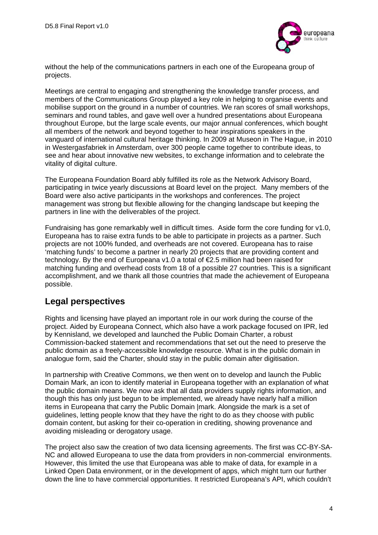

without the help of the communications partners in each one of the Europeana group of projects.

Meetings are central to engaging and strengthening the knowledge transfer process, and members of the Communications Group played a key role in helping to organise events and mobilise support on the ground in a number of countries. We ran scores of small workshops, seminars and round tables, and gave well over a hundred presentations about Europeana throughout Europe, but the large scale events, our major annual conferences, which bought all members of the network and beyond together to hear inspirations speakers in the vanguard of international cultural heritage thinking. In 2009 at Museon in The Hague, in 2010 in Westergasfabriek in Amsterdam, over 300 people came together to contribute ideas, to see and hear about innovative new websites, to exchange information and to celebrate the vitality of digital culture.

The Europeana Foundation Board ably fulfilled its role as the Network Advisory Board, participating in twice yearly discussions at Board level on the project. Many members of the Board were also active participants in the workshops and conferences. The project management was strong but flexible allowing for the changing landscape but keeping the partners in line with the deliverables of the project.

Fundraising has gone remarkably well in difficult times. Aside form the core funding for v1.0, Europeana has to raise extra funds to be able to participate in projects as a partner. Such projects are not 100% funded, and overheads are not covered. Europeana has to raise 'matching funds' to become a partner in nearly 20 projects that are providing content and technology. By the end of Europeana v1.0 a total of €2.5 million had been raised for matching funding and overhead costs from 18 of a possible 27 countries. This is a significant accomplishment, and we thank all those countries that made the achievement of Europeana possible.

#### **Legal perspectives**

Rights and licensing have played an important role in our work during the course of the project. Aided by Europeana Connect, which also have a work package focused on IPR, led by Kennisland, we developed and launched the Public Domain Charter, a robust Commission-backed statement and recommendations that set out the need to preserve the public domain as a freely-accessible knowledge resource. What is in the public domain in analogue form, said the Charter, should stay in the public domain after digitisation.

In partnership with Creative Commons, we then went on to develop and launch the Public Domain Mark, an icon to identify material in Europeana together with an explanation of what the public domain means. We now ask that all data providers supply rights information, and though this has only just begun to be implemented, we already have nearly half a million items in Europeana that carry the Public Domain |mark. Alongside the mark is a set of guidelines, letting people know that they have the right to do as they choose with public domain content, but asking for their co-operation in crediting, showing provenance and avoiding misleading or derogatory usage.

The project also saw the creation of two data licensing agreements. The first was CC-BY-SA-NC and allowed Europeana to use the data from providers in non-commercial environments. However, this limited the use that Europeana was able to make of data, for example in a Linked Open Data environment, or in the development of apps, which might turn our further down the line to have commercial opportunities. It restricted Europeana's API, which couldn't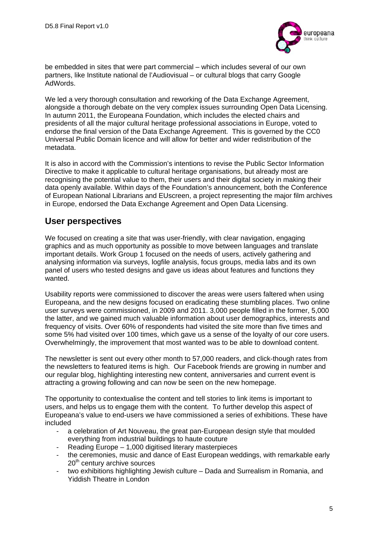

be embedded in sites that were part commercial – which includes several of our own partners, like Institute national de l'Audiovisual – or cultural blogs that carry Google AdWords.

We led a very thorough consultation and reworking of the Data Exchange Agreement, alongside a thorough debate on the very complex issues surrounding Open Data Licensing. In autumn 2011, the Europeana Foundation, which includes the elected chairs and presidents of all the major cultural heritage professional associations in Europe, voted to endorse the final version of the Data Exchange Agreement. This is governed by the CC0 Universal Public Domain licence and will allow for better and wider redistribution of the metadata.

It is also in accord with the Commission's intentions to revise the Public Sector Information Directive to make it applicable to cultural heritage organisations, but already most are recognising the potential value to them, their users and their digital society in making their data openly available. Within days of the Foundation's announcement, both the Conference of European National Librarians and EUscreen, a project representing the major film archives in Europe, endorsed the Data Exchange Agreement and Open Data Licensing.

#### **User perspectives**

We focused on creating a site that was user-friendly, with clear navigation, engaging graphics and as much opportunity as possible to move between languages and translate important details. Work Group 1 focused on the needs of users, actively gathering and analysing information via surveys, logfile analysis, focus groups, media labs and its own panel of users who tested designs and gave us ideas about features and functions they wanted.

Usability reports were commissioned to discover the areas were users faltered when using Europeana, and the new designs focused on eradicating these stumbling places. Two online user surveys were commissioned, in 2009 and 2011. 3,000 people filled in the former, 5,000 the latter, and we gained much valuable information about user demographics, interests and frequency of visits. Over 60% of respondents had visited the site more than five times and some 5% had visited over 100 times, which gave us a sense of the loyalty of our core users. Overwhelmingly, the improvement that most wanted was to be able to download content.

The newsletter is sent out every other month to 57,000 readers, and click-though rates from the newsletters to featured items is high. Our Facebook friends are growing in number and our regular blog, highlighting interesting new content, anniversaries and current event is attracting a growing following and can now be seen on the new homepage.

The opportunity to contextualise the content and tell stories to link items is important to users, and helps us to engage them with the content. To further develop this aspect of Europeana's value to end-users we have commissioned a series of exhibitions. These have included

- a celebration of Art Nouveau, the great pan-European design style that moulded everything from industrial buildings to haute couture
- Reading Europe 1,000 digitised literary masterpieces
- the ceremonies, music and dance of East European weddings, with remarkable early 20<sup>th</sup> century archive sources
- two exhibitions highlighting Jewish culture Dada and Surrealism in Romania, and Yiddish Theatre in London